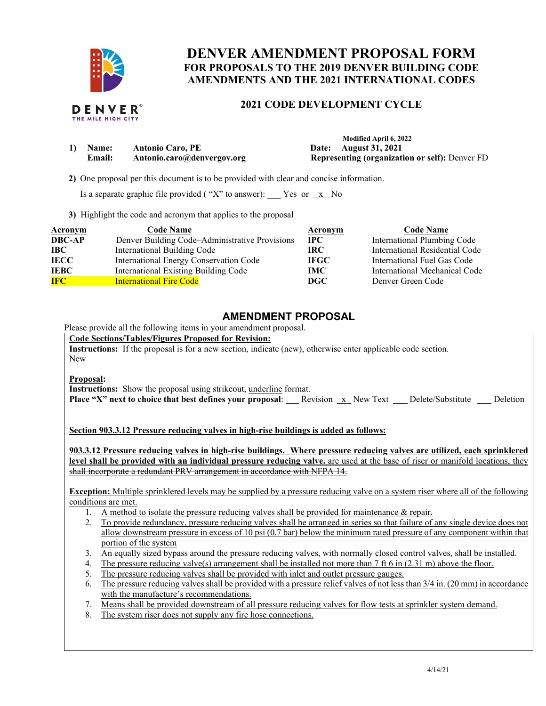

# **DENVER AMENDMENT PROPOSAL FORM FOR PROPOSALS TO THE 2019 DENVER BUILDING CODE AMENDMENTS AND THE 2021 INTERNATIONAL CODES**

## **2021 CODE DEVELOPMENT CYCLE**

|               |                            | Modified April 6, 2022                                |
|---------------|----------------------------|-------------------------------------------------------|
| Name:         | <b>Antonio Caro, PE</b>    | Date: August 31, 2021                                 |
| <b>Email:</b> | Antonio.caro@denvergov.org | <b>Representing (organization or self): Denver FD</b> |

 **2)** One proposal per this document is to be provided with clear and concise information.

Is a separate graphic file provided ("X" to answer):  $\frac{X}{X}$  No

**3)** Highlight the code and acronym that applies to the proposal

| Acronym       | <b>Code Name</b>                               | Acronym     | <b>Code Name</b>               |
|---------------|------------------------------------------------|-------------|--------------------------------|
| <b>DBC-AP</b> | Denver Building Code-Administrative Provisions | $\bf IPC$   | International Plumbing Code    |
| IBC           | International Building Code                    | IRC-        | International Residential Code |
| <b>IECC</b>   | International Energy Conservation Code         | <b>IFGC</b> | International Fuel Gas Code    |
| <b>IEBC</b>   | International Existing Building Code           | IMC         | International Mechanical Code  |
| <b>IFC</b>    | <b>International Fire Code</b>                 | DGC         | Denver Green Code              |

### **AMENDMENT PROPOSAL**

Please provide all the following items in your amendment proposal.

**Code Sections/Tables/Figures Proposed for Revision:**

**Instructions:** If the proposal is for a new section, indicate (new), otherwise enter applicable code section. New

#### **Proposal:**

**Instructions:** Show the proposal using strikeout, underline format.

**Place "X" next to choice that best defines your proposal**: Revision x New Text Delete/Substitute Deletion

**Section 903.3.12 Pressure reducing valves in high-rise buildings is added as follows:**

**903.3.12 Pressure reducing valves in high-rise buildings. Where pressure reducing valves are utilized, each sprinklered level shall be provided with an individual pressure reducing valve.** are used at the base of riser or manifold locations, they shall incorporate a redundant PRV arrangement in accordance with NFPA 14.

**Exception:** Multiple sprinklered levels may be supplied by a pressure reducing valve on a system riser where all of the following conditions are met.

- 1. A method to isolate the pressure reducing valves shall be provided for maintenance & repair.
- 2. To provide redundancy, pressure reducing valves shall be arranged in series so that failure of any single device does not allow downstream pressure in excess of 10 psi (0.7 bar) below the minimum rated pressure of any component within that portion of the system
- 3. An equally sized bypass around the pressure reducing valves, with normally closed control valves, shall be installed.
- 4. The pressure reducing valve(s) arrangement shall be installed not more than 7 ft 6 in (2.31 m) above the floor.
- 5. The pressure reducing valves shall be provided with inlet and outlet pressure gauges.
- 6. The pressure reducing valves shall be provided with a pressure relief valves of not less than 3/4 in. (20 mm) in accordance with the manufacture's recommendations.
- 7. Means shall be provided downstream of all pressure reducing valves for flow tests at sprinkler system demand.
- 8. The system riser does not supply any fire hose connections.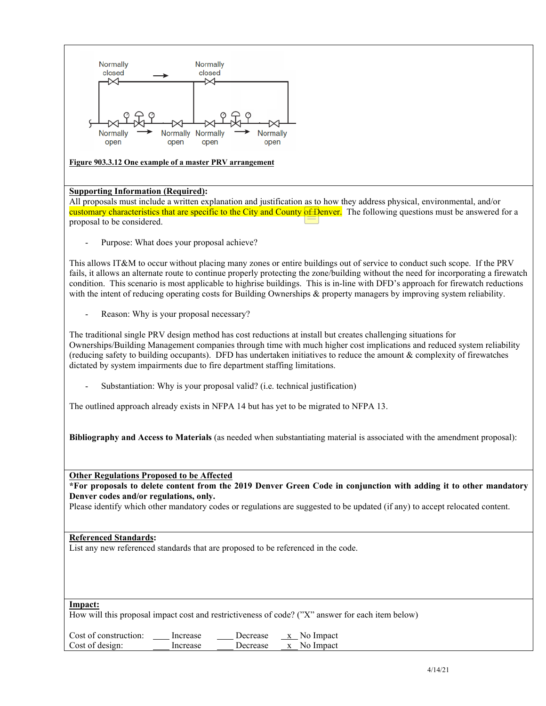

#### **Figure 903.3.12 One example of a master PRV arrangement**

#### **Supporting Information (Required):**

All proposals must include a written explanation and justification as to how they address physical, environmental, and/or customary characteristics that are specific to the City and County of Denver. The following questions must be answered for a proposal to be considered.

Purpose: What does your proposal achieve?

This allows IT&M to occur without placing many zones or entire buildings out of service to conduct such scope. If the PRV fails, it allows an alternate route to continue properly protecting the zone/building without the need for incorporating a firewatch condition. This scenario is most applicable to highrise buildings. This is in-line with DFD's approach for firewatch reductions with the intent of reducing operating costs for Building Ownerships & property managers by improving system reliability.

Reason: Why is your proposal necessary?

The traditional single PRV design method has cost reductions at install but creates challenging situations for Ownerships/Building Management companies through time with much higher cost implications and reduced system reliability (reducing safety to building occupants). DFD has undertaken initiatives to reduce the amount  $\&$  complexity of firewatches dictated by system impairments due to fire department staffing limitations.

Substantiation: Why is your proposal valid? (i.e. technical justification)

The outlined approach already exists in NFPA 14 but has yet to be migrated to NFPA 13.

**Bibliography and Access to Materials** (as needed when substantiating material is associated with the amendment proposal):

**Other Regulations Proposed to be Affected**

**\*For proposals to delete content from the 2019 Denver Green Code in conjunction with adding it to other mandatory Denver codes and/or regulations, only.**

Please identify which other mandatory codes or regulations are suggested to be updated (if any) to accept relocated content.

### **Referenced Standards:**

List any new referenced standards that are proposed to be referenced in the code.

#### **Impact:**

How will this proposal impact cost and restrictiveness of code? ("X" answer for each item below)

Cost of construction: Increase Decrease x No Impact Cost of design: Increase Decrease x No Impact